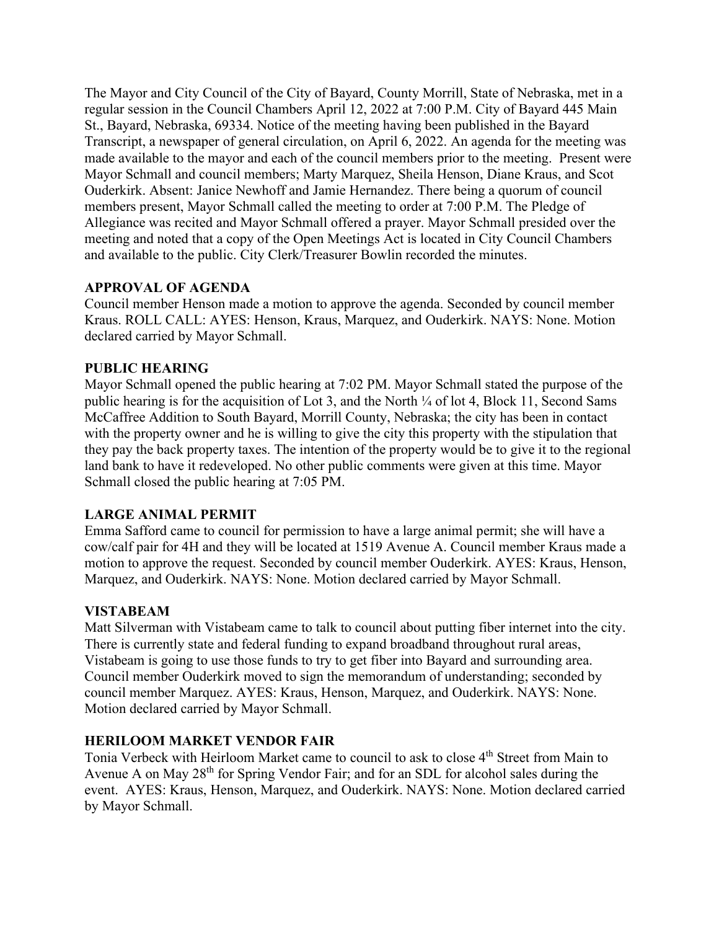The Mayor and City Council of the City of Bayard, County Morrill, State of Nebraska, met in a regular session in the Council Chambers April 12, 2022 at 7:00 P.M. City of Bayard 445 Main St., Bayard, Nebraska, 69334. Notice of the meeting having been published in the Bayard Transcript, a newspaper of general circulation, on April 6, 2022. An agenda for the meeting was made available to the mayor and each of the council members prior to the meeting. Present were Mayor Schmall and council members; Marty Marquez, Sheila Henson, Diane Kraus, and Scot Ouderkirk. Absent: Janice Newhoff and Jamie Hernandez. There being a quorum of council members present, Mayor Schmall called the meeting to order at 7:00 P.M. The Pledge of Allegiance was recited and Mayor Schmall offered a prayer. Mayor Schmall presided over the meeting and noted that a copy of the Open Meetings Act is located in City Council Chambers and available to the public. City Clerk/Treasurer Bowlin recorded the minutes.

## **APPROVAL OF AGENDA**

Council member Henson made a motion to approve the agenda. Seconded by council member Kraus. ROLL CALL: AYES: Henson, Kraus, Marquez, and Ouderkirk. NAYS: None. Motion declared carried by Mayor Schmall.

## **PUBLIC HEARING**

Mayor Schmall opened the public hearing at 7:02 PM. Mayor Schmall stated the purpose of the public hearing is for the acquisition of Lot 3, and the North ¼ of lot 4, Block 11, Second Sams McCaffree Addition to South Bayard, Morrill County, Nebraska; the city has been in contact with the property owner and he is willing to give the city this property with the stipulation that they pay the back property taxes. The intention of the property would be to give it to the regional land bank to have it redeveloped. No other public comments were given at this time. Mayor Schmall closed the public hearing at 7:05 PM.

## **LARGE ANIMAL PERMIT**

Emma Safford came to council for permission to have a large animal permit; she will have a cow/calf pair for 4H and they will be located at 1519 Avenue A. Council member Kraus made a motion to approve the request. Seconded by council member Ouderkirk. AYES: Kraus, Henson, Marquez, and Ouderkirk. NAYS: None. Motion declared carried by Mayor Schmall.

## **VISTABEAM**

Matt Silverman with Vistabeam came to talk to council about putting fiber internet into the city. There is currently state and federal funding to expand broadband throughout rural areas, Vistabeam is going to use those funds to try to get fiber into Bayard and surrounding area. Council member Ouderkirk moved to sign the memorandum of understanding; seconded by council member Marquez. AYES: Kraus, Henson, Marquez, and Ouderkirk. NAYS: None. Motion declared carried by Mayor Schmall.

## **HERILOOM MARKET VENDOR FAIR**

Tonia Verbeck with Heirloom Market came to council to ask to close 4<sup>th</sup> Street from Main to Avenue A on May  $28<sup>th</sup>$  for Spring Vendor Fair; and for an SDL for alcohol sales during the event. AYES: Kraus, Henson, Marquez, and Ouderkirk. NAYS: None. Motion declared carried by Mayor Schmall.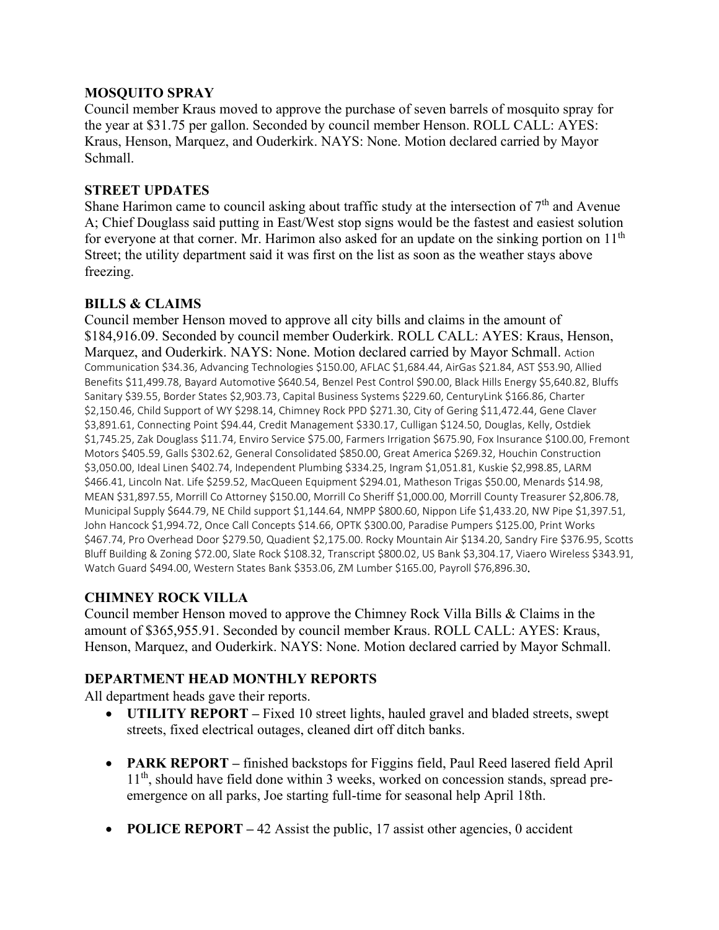## **MOSQUITO SPRAY**

Council member Kraus moved to approve the purchase of seven barrels of mosquito spray for the year at \$31.75 per gallon. Seconded by council member Henson. ROLL CALL: AYES: Kraus, Henson, Marquez, and Ouderkirk. NAYS: None. Motion declared carried by Mayor Schmall.

## **STREET UPDATES**

Shane Harimon came to council asking about traffic study at the intersection of  $7<sup>th</sup>$  and Avenue A; Chief Douglass said putting in East/West stop signs would be the fastest and easiest solution for everyone at that corner. Mr. Harimon also asked for an update on the sinking portion on  $11<sup>th</sup>$ Street; the utility department said it was first on the list as soon as the weather stays above freezing.

# **BILLS & CLAIMS**

Council member Henson moved to approve all city bills and claims in the amount of \$184,916.09. Seconded by council member Ouderkirk. ROLL CALL: AYES: Kraus, Henson, Marquez, and Ouderkirk. NAYS: None. Motion declared carried by Mayor Schmall. Action Communication \$34.36, Advancing Technologies \$150.00, AFLAC \$1,684.44, AirGas \$21.84, AST \$53.90, Allied Benefits \$11,499.78, Bayard Automotive \$640.54, Benzel Pest Control \$90.00, Black Hills Energy \$5,640.82, Bluffs Sanitary \$39.55, Border States \$2,903.73, Capital Business Systems \$229.60, CenturyLink \$166.86, Charter \$2,150.46, Child Support of WY \$298.14, Chimney Rock PPD \$271.30, City of Gering \$11,472.44, Gene Claver \$3,891.61, Connecting Point \$94.44, Credit Management \$330.17, Culligan \$124.50, Douglas, Kelly, Ostdiek \$1,745.25, Zak Douglass \$11.74, Enviro Service \$75.00, Farmers Irrigation \$675.90, Fox Insurance \$100.00, Fremont Motors \$405.59, Galls \$302.62, General Consolidated \$850.00, Great America \$269.32, Houchin Construction \$3,050.00, Ideal Linen \$402.74, Independent Plumbing \$334.25, Ingram \$1,051.81, Kuskie \$2,998.85, LARM \$466.41, Lincoln Nat. Life \$259.52, MacQueen Equipment \$294.01, Matheson Trigas \$50.00, Menards \$14.98, MEAN \$31,897.55, Morrill Co Attorney \$150.00, Morrill Co Sheriff \$1,000.00, Morrill County Treasurer \$2,806.78, Municipal Supply \$644.79, NE Child support \$1,144.64, NMPP \$800.60, Nippon Life \$1,433.20, NW Pipe \$1,397.51, John Hancock \$1,994.72, Once Call Concepts \$14.66, OPTK \$300.00, Paradise Pumpers \$125.00, Print Works \$467.74, Pro Overhead Door \$279.50, Quadient \$2,175.00. Rocky Mountain Air \$134.20, Sandry Fire \$376.95, Scotts Bluff Building & Zoning \$72.00, Slate Rock \$108.32, Transcript \$800.02, US Bank \$3,304.17, Viaero Wireless \$343.91, Watch Guard \$494.00, Western States Bank \$353.06, ZM Lumber \$165.00, Payroll \$76,896.30.

# **CHIMNEY ROCK VILLA**

Council member Henson moved to approve the Chimney Rock Villa Bills & Claims in the amount of \$365,955.91. Seconded by council member Kraus. ROLL CALL: AYES: Kraus, Henson, Marquez, and Ouderkirk. NAYS: None. Motion declared carried by Mayor Schmall.

# **DEPARTMENT HEAD MONTHLY REPORTS**

All department heads gave their reports.

- **UTILITY REPORT** Fixed 10 street lights, hauled gravel and bladed streets, swept streets, fixed electrical outages, cleaned dirt off ditch banks.
- **PARK REPORT –** finished backstops for Figgins field, Paul Reed lasered field April 1<sup>th</sup>, should have field done within 3 weeks, worked on concession stands, spread preemergence on all parks, Joe starting full-time for seasonal help April 18th.
- **POLICE REPORT** 42 Assist the public, 17 assist other agencies, 0 accident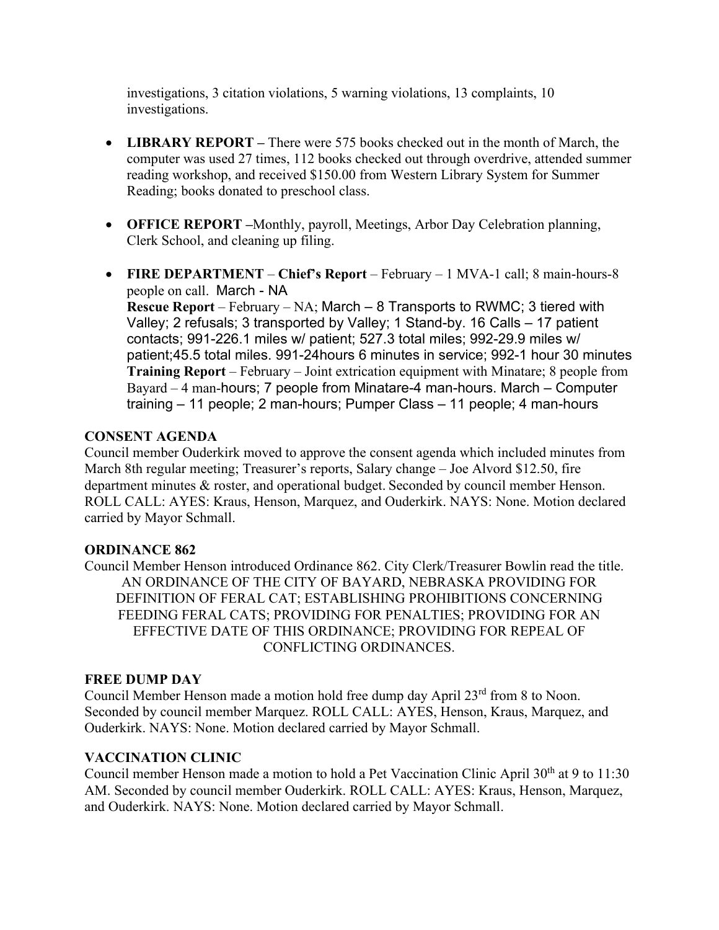investigations, 3 citation violations, 5 warning violations, 13 complaints, 10 investigations.

- **LIBRARY REPORT** There were 575 books checked out in the month of March, the computer was used 27 times, 112 books checked out through overdrive, attended summer reading workshop, and received \$150.00 from Western Library System for Summer Reading; books donated to preschool class.
- **OFFICE REPORT –**Monthly, payroll, Meetings, Arbor Day Celebration planning, Clerk School, and cleaning up filing.
- **FIRE DEPARTMENT Chief's Report** February 1 MVA-1 call; 8 main-hours-8 people on call. March - NA **Rescue Report** – February – NA; March – 8 Transports to RWMC; 3 tiered with

Valley; 2 refusals; 3 transported by Valley; 1 Stand-by. 16 Calls – 17 patient contacts; 991-226.1 miles w/ patient; 527.3 total miles; 992-29.9 miles w/ patient;45.5 total miles. 991-24hours 6 minutes in service; 992-1 hour 30 minutes **Training Report** – February – Joint extrication equipment with Minatare; 8 people from Bayard – 4 man-hours; 7 people from Minatare-4 man-hours. March – Computer training – 11 people; 2 man-hours; Pumper Class – 11 people; 4 man-hours

#### **CONSENT AGENDA**

Council member Ouderkirk moved to approve the consent agenda which included minutes from March 8th regular meeting; Treasurer's reports, Salary change – Joe Alvord \$12.50, fire department minutes & roster, and operational budget. Seconded by council member Henson. ROLL CALL: AYES: Kraus, Henson, Marquez, and Ouderkirk. NAYS: None. Motion declared carried by Mayor Schmall.

## **ORDINANCE 862**

Council Member Henson introduced Ordinance 862. City Clerk/Treasurer Bowlin read the title. AN ORDINANCE OF THE CITY OF BAYARD, NEBRASKA PROVIDING FOR DEFINITION OF FERAL CAT; ESTABLISHING PROHIBITIONS CONCERNING FEEDING FERAL CATS; PROVIDING FOR PENALTIES; PROVIDING FOR AN EFFECTIVE DATE OF THIS ORDINANCE; PROVIDING FOR REPEAL OF CONFLICTING ORDINANCES.

#### **FREE DUMP DAY**

Council Member Henson made a motion hold free dump day April 23<sup>rd</sup> from 8 to Noon. Seconded by council member Marquez. ROLL CALL: AYES, Henson, Kraus, Marquez, and Ouderkirk. NAYS: None. Motion declared carried by Mayor Schmall.

#### **VACCINATION CLINIC**

Council member Henson made a motion to hold a Pet Vaccination Clinic April 30<sup>th</sup> at 9 to 11:30 AM. Seconded by council member Ouderkirk. ROLL CALL: AYES: Kraus, Henson, Marquez, and Ouderkirk. NAYS: None. Motion declared carried by Mayor Schmall.